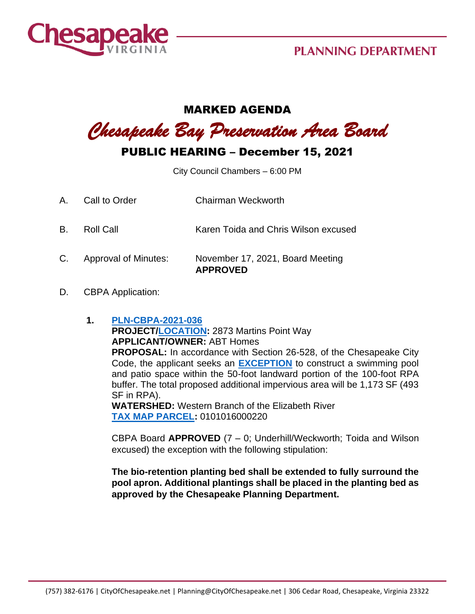

## **PLANNING DEPARTMENT**

## MARKED AGENDA

*Chesapeake Bay Preservation Area Board*

## PUBLIC HEARING – December 15, 2021

City Council Chambers – 6:00 PM

- A. Call to Order Chairman Weckworth
- B. Roll Call Karen Toida and Chris Wilson excused
- C. Approval of Minutes: November 17, 2021, Board Meeting **APPROVED**
- D. CBPA Application:
	- **1. [PLN-CBPA-2021-036](https://aca-prod.accela.com/CHESAPEAKE/Cap/CapDetail.aspx?Module=Planning&TabName=Planning&capID1=DUB21&capID2=00000&capID3=00IC6&agencyCode=CHESAPEAKE&IsToShowInspection=) PROJECT[/LOCATION:](https://www.cityofchesapeake.net/Assets/supporting_docs/actions_cbpa/2021/2021-12-15/pln-cbpa-2021-036_location_map.jpg)** 2873 Martins Point Way **APPLICANT/OWNER:** ABT Homes **PROPOSAL:** In accordance with Section 26-528, of the Chesapeake City Code, the applicant seeks an **[EXCEPTION](https://www.cityofchesapeake.net/Assets/supporting_docs/actions_cbpa/2021/2021-12-15/PLN-CBPA-2021-036_Staff+Report_20211112.pdf)** to construct a swimming pool and patio space within the 50-foot landward portion of the 100-foot RPA buffer. The total proposed additional impervious area will be 1,173 SF (493 SF in RPA). **WATERSHED:** Western Branch of the Elizabeth River **[TAX MAP PARCEL:](https://www.cityofchesapeake.net/Assets/supporting_docs/actions_cbpa/2021/2021-12-15/pln-cbpa-2021-036_aerial.jpg)** 0101016000220

CBPA Board **APPROVED** (7 – 0; Underhill/Weckworth; Toida and Wilson excused) the exception with the following stipulation:

**The bio-retention planting bed shall be extended to fully surround the pool apron. Additional plantings shall be placed in the planting bed as approved by the Chesapeake Planning Department.**